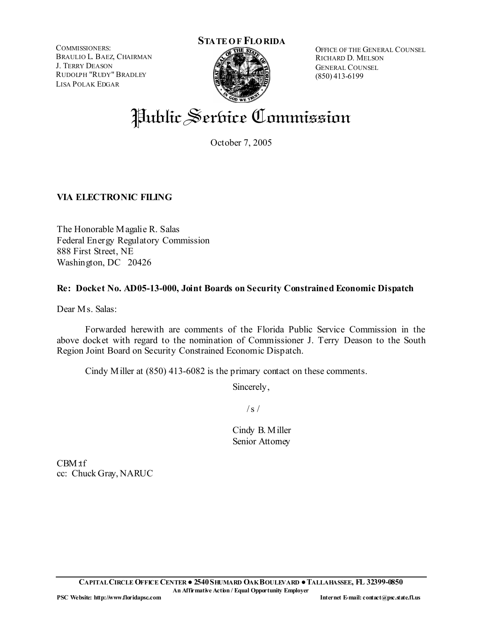COMMISSIONERS: BRAULIO L. BAEZ, CHAIRMAN J. TERRY DEASON RUDOLPH "RUDY" BRADLEY LISA POLAK EDGAR



OFFICE OF THE GENERAL COUNSEL RICHARD D. MELSON GENERAL COUNSEL (850) 413-6199

# Public Service Commission

October 7, 2005

## **VIA ELECTRONIC FILING**

The Honorable Magalie R. Salas Federal Energy Regulatory Commission 888 First Street, NE Washington, DC 20426

## **Re: Docket No. AD05-13-000, Joint Boards on Security Constrained Economic Dispatch**

Dear Ms. Salas:

 Forwarded herewith are comments of the Florida Public Service Commission in the above docket with regard to the nomination of Commissioner J. Terry Deason to the South Region Joint Board on Security Constrained Economic Dispatch.

Cindy Miller at (850) 413-6082 is the primary contact on these comments.

Sincerely,

 $/s /$ 

Cindy B. Miller Senior Attorney

CBM:tf cc: Chuck Gray, NARUC